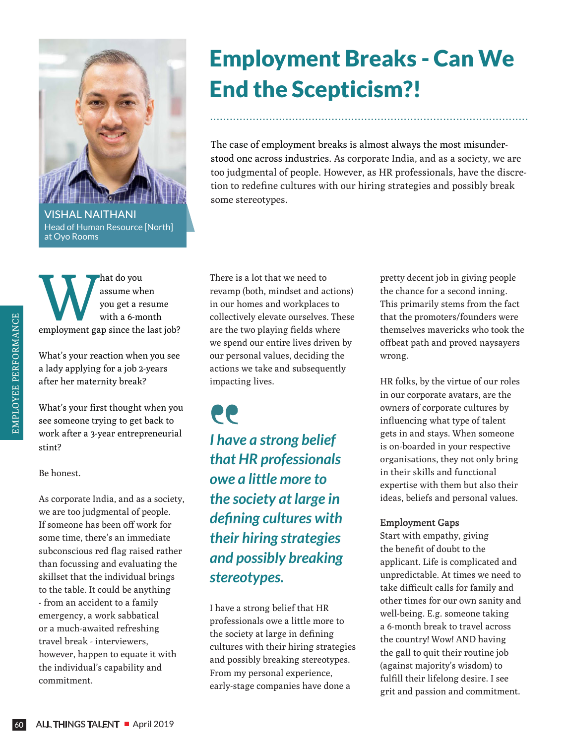

## Employment Breaks - Can We End the Scepticism?!

The case of employment breaks is almost always the most misunderstood one across industries. As corporate India, and as a society, we are too judgmental of people. However, as HR professionals, have the discretion to redefine cultures with our hiring strategies and possibly break some stereotypes.

.................................................................................................

Head of Human Resource [North] at Oyo Rooms

hat do you<br>
you get a resume<br>
with a 6-month<br>
employment gap since the last job? assume when you get a resume with a 6-month

What's your reaction when you see a lady applying for a job 2-years after her maternity break?

What's your first thought when you see someone trying to get back to work after a 3-year entrepreneurial stint?

Be honest.

As corporate India, and as a society, we are too judgmental of people. If someone has been off work for some time, there's an immediate subconscious red flag raised rather than focussing and evaluating the skillset that the individual brings to the table. It could be anything - from an accident to a family emergency, a work sabbatical or a much-awaited refreshing travel break - interviewers, however, happen to equate it with the individual's capability and commitment.

There is a lot that we need to revamp (both, mindset and actions) in our homes and workplaces to collectively elevate ourselves. These are the two playing fields where we spend our entire lives driven by our personal values, deciding the actions we take and subsequently impacting lives.

66 *I have a strong belief that HR professionals owe a little more to the society at large in defining cultures with their hiring strategies and possibly breaking stereotypes.*

I have a strong belief that HR professionals owe a little more to the society at large in defining cultures with their hiring strategies and possibly breaking stereotypes. From my personal experience, early-stage companies have done a

pretty decent job in giving people the chance for a second inning. This primarily stems from the fact that the promoters/founders were themselves mavericks who took the offbeat path and proved naysayers wrong.

HR folks, by the virtue of our roles in our corporate avatars, are the owners of corporate cultures by influencing what type of talent gets in and stays. When someone is on-boarded in your respective organisations, they not only bring in their skills and functional expertise with them but also their ideas, beliefs and personal values.

## Employment Gaps

Start with empathy, giving the benefit of doubt to the applicant. Life is complicated and unpredictable. At times we need to take difficult calls for family and other times for our own sanity and well-being. E.g. someone taking a 6-month break to travel across the country! Wow! AND having the gall to quit their routine job (against majority's wisdom) to fulfill their lifelong desire. I see grit and passion and commitment.